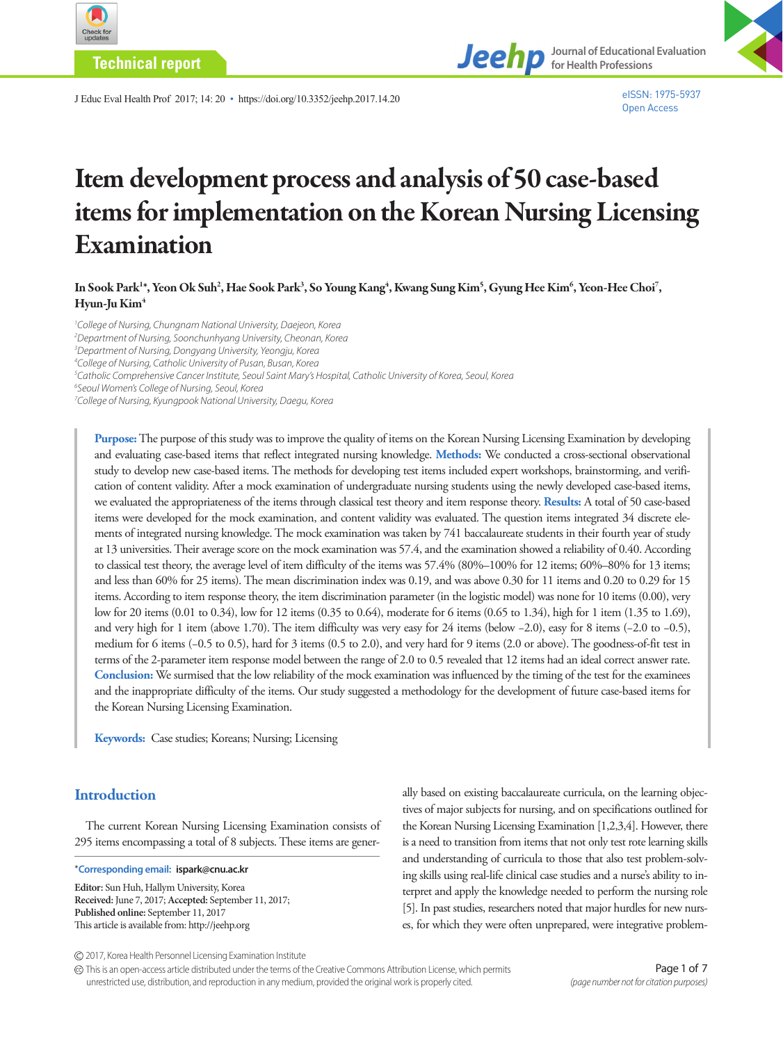

**Technical report**



J Educ Eval Health Prof 2017; 14: 20 • https://doi.org/10.3352/jeehp.2017.14.20

eISSN: 1975-5937 Open Access

# Item development process and analysis of 50 case-based items for implementation on the Korean Nursing Licensing Examination

In Sook Park<sup>1</sup>\*, Yeon Ok Suh<sup>2</sup>, Hae Sook Park<sup>3</sup>, So Young Kang<sup>4</sup>, Kwang Sung Kim<sup>5</sup>, Gyung Hee Kim<sup>6</sup>, Yeon-Hee Choi<sup>7</sup>, Hyun-Ju Kim<sup>4</sup>

<sup>1</sup> College of Nursing, Chungnam National University, Daejeon, Korea *Department of Nursing, Soonchunhyang University, Cheonan, Korea Department of Nursing, Dongyang University, Yeongju, Korea College of Nursing, Catholic University of Pusan, Busan, Korea Catholic Comprehensive Cancer Institute, Seoul Saint Mary's Hospital, Catholic University of Korea, Seoul, Korea Seoul Women's College of Nursing, Seoul, Korea College of Nursing, Kyungpook National University, Daegu, Korea* 

**Purpose:** The purpose of this study was to improve the quality of items on the Korean Nursing Licensing Examination by developing and evaluating case-based items that reflect integrated nursing knowledge. **Methods:** We conducted a cross-sectional observational study to develop new case-based items. The methods for developing test items included expert workshops, brainstorming, and verification of content validity. After a mock examination of undergraduate nursing students using the newly developed case-based items, we evaluated the appropriateness of the items through classical test theory and item response theory. **Results:** A total of 50 case-based items were developed for the mock examination, and content validity was evaluated. The question items integrated 34 discrete elements of integrated nursing knowledge. The mock examination was taken by 741 baccalaureate students in their fourth year of study at 13 universities. Their average score on the mock examination was 57.4, and the examination showed a reliability of 0.40. According to classical test theory, the average level of item difficulty of the items was 57.4% (80%–100% for 12 items; 60%–80% for 13 items; and less than 60% for 25 items). The mean discrimination index was 0.19, and was above 0.30 for 11 items and 0.20 to 0.29 for 15 items. According to item response theory, the item discrimination parameter (in the logistic model) was none for 10 items (0.00), very low for 20 items (0.01 to 0.34), low for 12 items (0.35 to 0.64), moderate for 6 items (0.65 to 1.34), high for 1 item (1.35 to 1.69), and very high for 1 item (above 1.70). The item difficulty was very easy for 24 items (below −2.0), easy for 8 items (−2.0 to −0.5), medium for 6 items (−0.5 to 0.5), hard for 3 items (0.5 to 2.0), and very hard for 9 items (2.0 or above). The goodness-of-fit test in terms of the 2-parameter item response model between the range of 2.0 to 0.5 revealed that 12 items had an ideal correct answer rate. **Conclusion:** We surmised that the low reliability of the mock examination was influenced by the timing of the test for the examinees and the inappropriate difficulty of the items. Our study suggested a methodology for the development of future case-based items for the Korean Nursing Licensing Examination.

**Keywords:** Case studies; Koreans; Nursing; Licensing

# **Introduction**

The current Korean Nursing Licensing Examination consists of 295 items encompassing a total of 8 subjects. These items are gener-

\***Corresponding email: ispark@cnu.ac.kr**

**Editor:** Sun Huh, Hallym University, Korea **Received:** June 7, 2017; **Accepted:** September 11, 2017; **Published online:** September 11, 2017 This article is available from: http://jeehp.org

ally based on existing baccalaureate curricula, on the learning objectives of major subjects for nursing, and on specifications outlined for the Korean Nursing Licensing Examination [1,2,3,4]. However, there is a need to transition from items that not only test rote learning skills and understanding of curricula to those that also test problem-solving skills using real-life clinical case studies and a nurse's ability to interpret and apply the knowledge needed to perform the nursing role [5]. In past studies, researchers noted that major hurdles for new nurses, for which they were often unprepared, were integrative problem-

2017, Korea Health Personnel Licensing Examination Institute

This is an open-access article distributed under the terms of the Creative Commons Attribution License, which permits unrestricted use, distribution, and reproduction in any medium, provided the original work is properly cited.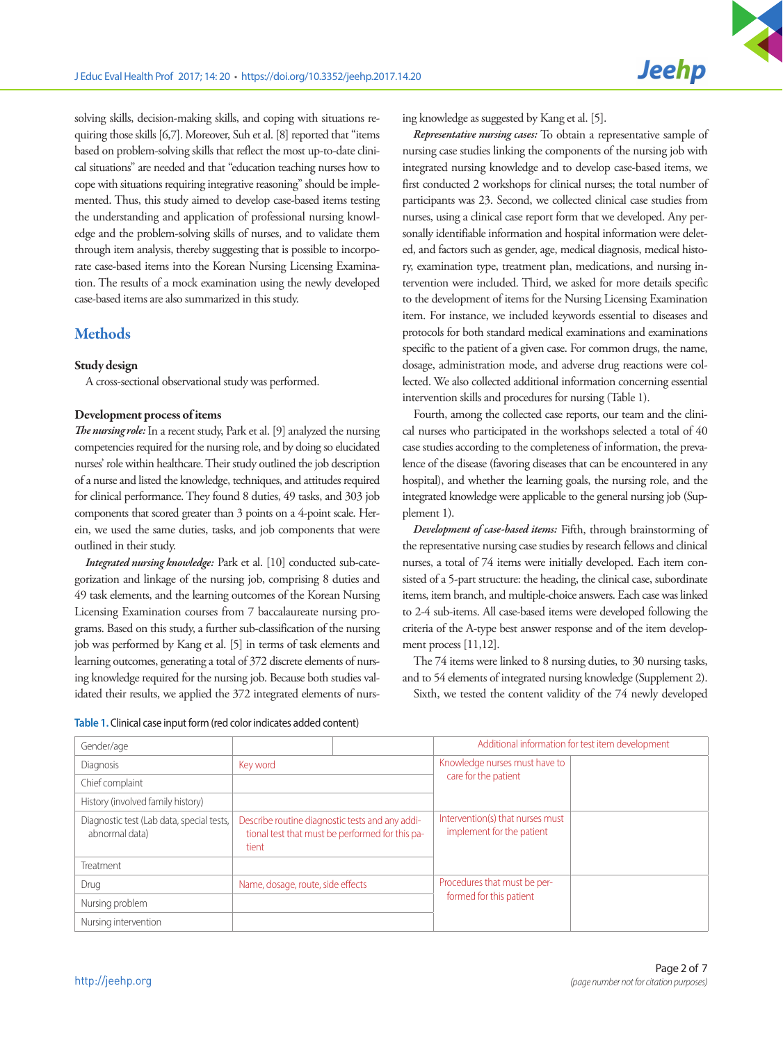solving skills, decision-making skills, and coping with situations requiring those skills [6,7]. Moreover, Suh et al. [8] reported that "items based on problem-solving skills that reflect the most up-to-date clinical situations" are needed and that "education teaching nurses how to cope with situations requiring integrative reasoning" should be implemented. Thus, this study aimed to develop case-based items testing the understanding and application of professional nursing knowledge and the problem-solving skills of nurses, and to validate them through item analysis, thereby suggesting that is possible to incorporate case-based items into the Korean Nursing Licensing Examination. The results of a mock examination using the newly developed case-based items are also summarized in this study.

## **Methods**

#### Study design

A cross-sectional observational study was performed.

#### Development process of items

*The nursing role:* In a recent study, Park et al. [9] analyzed the nursing competencies required for the nursing role, and by doing so elucidated nurses' role within healthcare. Their study outlined the job description of a nurse and listed the knowledge, techniques, and attitudes required for clinical performance. They found 8 duties, 49 tasks, and 303 job components that scored greater than 3 points on a 4-point scale. Herein, we used the same duties, tasks, and job components that were outlined in their study.

*Integrated nursing knowledge:* Park et al. [10] conducted sub-categorization and linkage of the nursing job, comprising 8 duties and 49 task elements, and the learning outcomes of the Korean Nursing Licensing Examination courses from 7 baccalaureate nursing programs. Based on this study, a further sub-classification of the nursing job was performed by Kang et al. [5] in terms of task elements and learning outcomes, generating a total of 372 discrete elements of nursing knowledge required for the nursing job. Because both studies validated their results, we applied the 372 integrated elements of nursing knowledge as suggested by Kang et al. [5].

*Representative nursing cases:* To obtain a representative sample of nursing case studies linking the components of the nursing job with integrated nursing knowledge and to develop case-based items, we first conducted 2 workshops for clinical nurses; the total number of participants was 23. Second, we collected clinical case studies from nurses, using a clinical case report form that we developed. Any personally identifiable information and hospital information were deleted, and factors such as gender, age, medical diagnosis, medical history, examination type, treatment plan, medications, and nursing intervention were included. Third, we asked for more details specific to the development of items for the Nursing Licensing Examination item. For instance, we included keywords essential to diseases and protocols for both standard medical examinations and examinations specific to the patient of a given case. For common drugs, the name, dosage, administration mode, and adverse drug reactions were collected. We also collected additional information concerning essential intervention skills and procedures for nursing (Table 1).

Fourth, among the collected case reports, our team and the clinical nurses who participated in the workshops selected a total of 40 case studies according to the completeness of information, the prevalence of the disease (favoring diseases that can be encountered in any hospital), and whether the learning goals, the nursing role, and the integrated knowledge were applicable to the general nursing job (Supplement 1).

*Development of case-based items:* Fifth, through brainstorming of the representative nursing case studies by research fellows and clinical nurses, a total of 74 items were initially developed. Each item consisted of a 5-part structure: the heading, the clinical case, subordinate items, item branch, and multiple-choice answers. Each case was linked to 2-4 sub-items. All case-based items were developed following the criteria of the A-type best answer response and of the item development process [11,12].

The 74 items were linked to 8 nursing duties, to 30 nursing tasks, and to 54 elements of integrated nursing knowledge (Supplement 2). Sixth, we tested the content validity of the 74 newly developed

| Table 1. Clinical case input form (red color indicates added content) |  |  |  |  |  |
|-----------------------------------------------------------------------|--|--|--|--|--|
|-----------------------------------------------------------------------|--|--|--|--|--|

| Gender/age                                                  |                                                                                                             | Additional information for test item development              |  |  |  |  |
|-------------------------------------------------------------|-------------------------------------------------------------------------------------------------------------|---------------------------------------------------------------|--|--|--|--|
| Diagnosis                                                   | Key word                                                                                                    | Knowledge nurses must have to                                 |  |  |  |  |
| Chief complaint                                             |                                                                                                             | care for the patient                                          |  |  |  |  |
| History (involved family history)                           |                                                                                                             |                                                               |  |  |  |  |
| Diagnostic test (Lab data, special tests,<br>abnormal data) | Describe routine diagnostic tests and any addi-<br>tional test that must be performed for this pa-<br>tient | Intervention(s) that nurses must<br>implement for the patient |  |  |  |  |
| Treatment                                                   |                                                                                                             |                                                               |  |  |  |  |
| Drug                                                        | Name, dosage, route, side effects                                                                           | Procedures that must be per-                                  |  |  |  |  |
| Nursing problem                                             |                                                                                                             | formed for this patient                                       |  |  |  |  |
| Nursing intervention                                        |                                                                                                             |                                                               |  |  |  |  |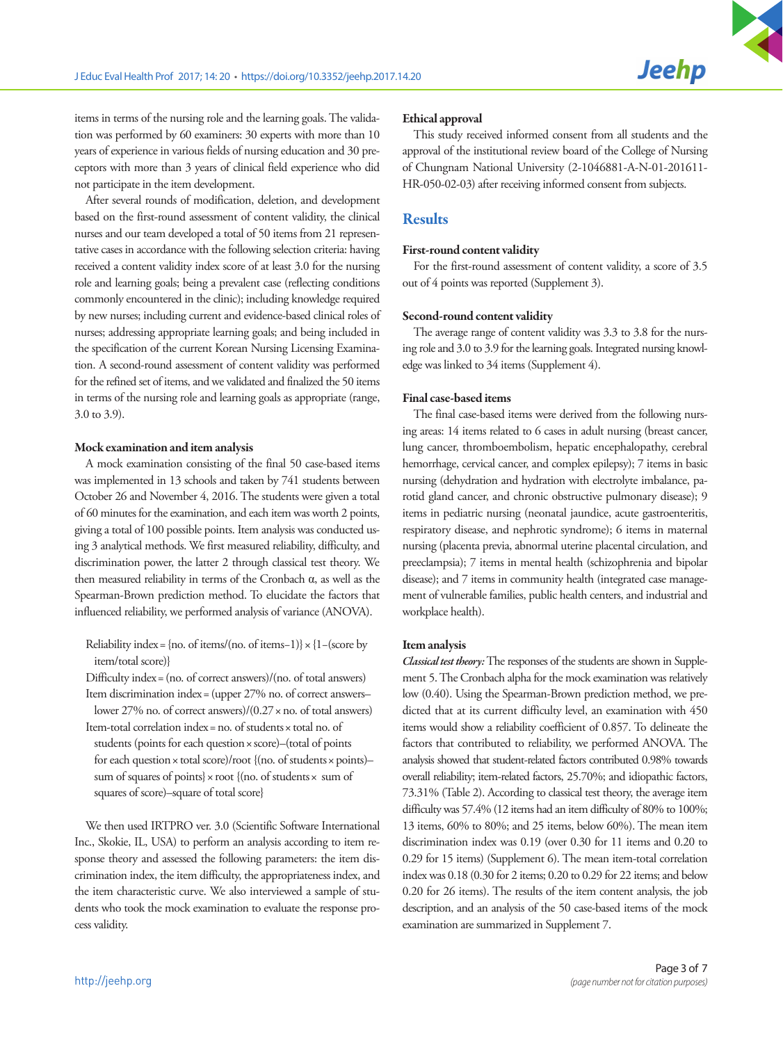items in terms of the nursing role and the learning goals. The validation was performed by 60 examiners: 30 experts with more than 10 years of experience in various fields of nursing education and 30 preceptors with more than 3 years of clinical field experience who did not participate in the item development.

After several rounds of modification, deletion, and development based on the first-round assessment of content validity, the clinical nurses and our team developed a total of 50 items from 21 representative cases in accordance with the following selection criteria: having received a content validity index score of at least 3.0 for the nursing role and learning goals; being a prevalent case (reflecting conditions commonly encountered in the clinic); including knowledge required by new nurses; including current and evidence-based clinical roles of nurses; addressing appropriate learning goals; and being included in the specification of the current Korean Nursing Licensing Examination. A second-round assessment of content validity was performed for the refined set of items, and we validated and finalized the 50 items in terms of the nursing role and learning goals as appropriate (range, 3.0 to 3.9).

#### Mock examination and item analysis

A mock examination consisting of the final 50 case-based items was implemented in 13 schools and taken by 741 students between October 26 and November 4, 2016. The students were given a total of 60 minutes for the examination, and each item was worth 2 points, giving a total of 100 possible points. Item analysis was conducted using 3 analytical methods. We first measured reliability, difficulty, and discrimination power, the latter 2 through classical test theory. We then measured reliability in terms of the Cronbach α, as well as the Spearman-Brown prediction method. To elucidate the factors that influenced reliability, we performed analysis of variance (ANOVA).

Reliability index = {no. of items/(no. of items–1)}  $\times$  {1–(score by item/total score)}

Difficulty index= (no. of correct answers)/(no. of total answers) Item discrimination index= (upper 27% no. of correct answers–

lower 27% no. of correct answers)/(0.27× no. of total answers) Item-total correlation index= no. of students× total no. of students (points for each question× score)–(total of points for each question × total score)/root {(no. of students × points)sum of squares of points} × root {(no. of students × sum of squares of score)–square of total score}

We then used IRTPRO ver. 3.0 (Scientific Software International Inc., Skokie, IL, USA) to perform an analysis according to item response theory and assessed the following parameters: the item discrimination index, the item difficulty, the appropriateness index, and the item characteristic curve. We also interviewed a sample of students who took the mock examination to evaluate the response process validity.

#### Ethical approval

This study received informed consent from all students and the approval of the institutional review board of the College of Nursing of Chungnam National University (2-1046881-A-N-01-201611- HR-050-02-03) after receiving informed consent from subjects.

### **Results**

#### First-round content validity

For the first-round assessment of content validity, a score of 3.5 out of 4 points was reported (Supplement 3).

#### Second-round content validity

The average range of content validity was 3.3 to 3.8 for the nursing role and 3.0 to 3.9 for the learning goals. Integrated nursing knowledge was linked to 34 items (Supplement 4).

#### Final case-based items

The final case-based items were derived from the following nursing areas: 14 items related to 6 cases in adult nursing (breast cancer, lung cancer, thromboembolism, hepatic encephalopathy, cerebral hemorrhage, cervical cancer, and complex epilepsy); 7 items in basic nursing (dehydration and hydration with electrolyte imbalance, parotid gland cancer, and chronic obstructive pulmonary disease); 9 items in pediatric nursing (neonatal jaundice, acute gastroenteritis, respiratory disease, and nephrotic syndrome); 6 items in maternal nursing (placenta previa, abnormal uterine placental circulation, and preeclampsia); 7 items in mental health (schizophrenia and bipolar disease); and 7 items in community health (integrated case management of vulnerable families, public health centers, and industrial and workplace health).

#### Item analysis

*Classical test theory:* The responses of the students are shown in Supplement 5. The Cronbach alpha for the mock examination was relatively low (0.40). Using the Spearman-Brown prediction method, we predicted that at its current difficulty level, an examination with 450 items would show a reliability coefficient of 0.857. To delineate the factors that contributed to reliability, we performed ANOVA. The analysis showed that student-related factors contributed 0.98% towards overall reliability; item-related factors, 25.70%; and idiopathic factors, 73.31% (Table 2). According to classical test theory, the average item difficulty was 57.4% (12 items had an item difficulty of 80% to 100%; 13 items, 60% to 80%; and 25 items, below 60%). The mean item discrimination index was 0.19 (over 0.30 for 11 items and 0.20 to 0.29 for 15 items) (Supplement 6). The mean item-total correlation index was 0.18 (0.30 for 2 items; 0.20 to 0.29 for 22 items; and below 0.20 for 26 items). The results of the item content analysis, the job description, and an analysis of the 50 case-based items of the mock examination are summarized in Supplement 7.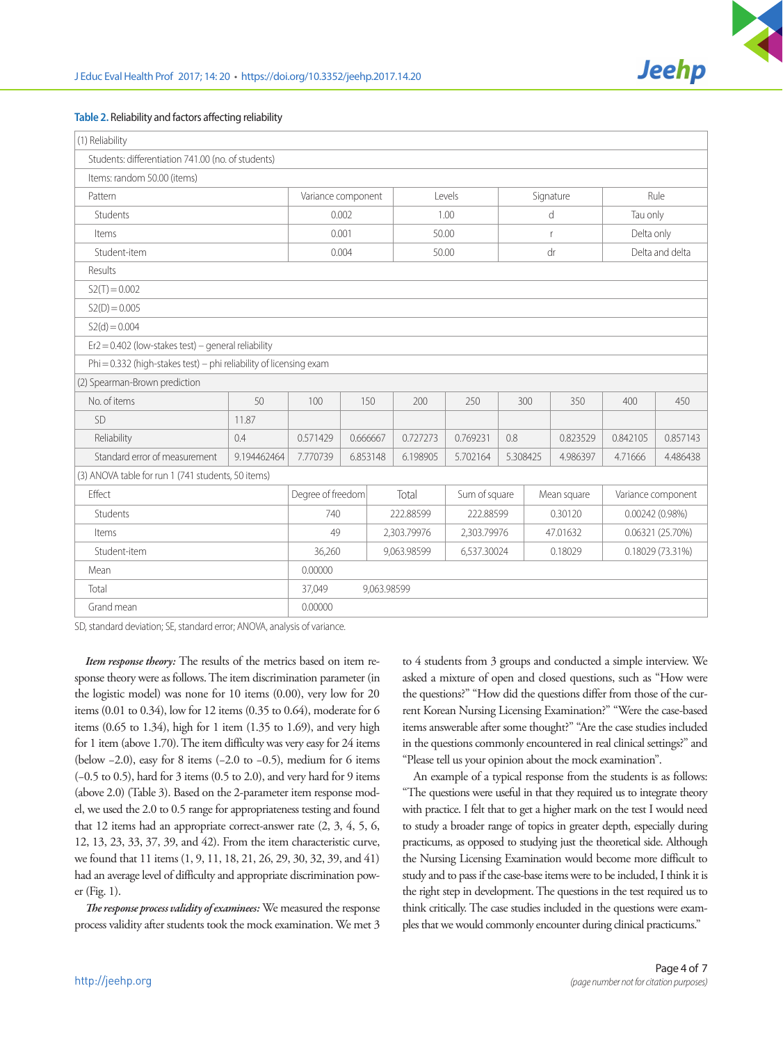

### **Table 2.** Reliability and factors affecting reliability

| (1) Reliability                                                    |                       |                   |  |                            |          |               |          |                  |                 |                    |          |
|--------------------------------------------------------------------|-----------------------|-------------------|--|----------------------------|----------|---------------|----------|------------------|-----------------|--------------------|----------|
| Students: differentiation 741.00 (no. of students)                 |                       |                   |  |                            |          |               |          |                  |                 |                    |          |
| Items: random 50.00 (items)                                        |                       |                   |  |                            |          |               |          |                  |                 |                    |          |
| Pattern                                                            | Variance component    |                   |  | Levels                     |          | Signature     |          | Rule             |                 |                    |          |
| Students                                                           | 0.002                 |                   |  | 1.00                       |          | d             |          | Tau only         |                 |                    |          |
| Items                                                              |                       | 0.001             |  |                            | 50.00    |               | r        |                  | Delta only      |                    |          |
| Student-item                                                       |                       | 0.004             |  |                            | 50.00    |               | dr       |                  | Delta and delta |                    |          |
| Results                                                            |                       |                   |  |                            |          |               |          |                  |                 |                    |          |
| $S2(T) = 0.002$                                                    |                       |                   |  |                            |          |               |          |                  |                 |                    |          |
| $S2(D) = 0.005$                                                    |                       |                   |  |                            |          |               |          |                  |                 |                    |          |
| $S2(d) = 0.004$                                                    |                       |                   |  |                            |          |               |          |                  |                 |                    |          |
| $Er2 = 0.402$ (low-stakes test) – general reliability              |                       |                   |  |                            |          |               |          |                  |                 |                    |          |
| Phi = 0.332 (high-stakes test) - phi reliability of licensing exam |                       |                   |  |                            |          |               |          |                  |                 |                    |          |
| (2) Spearman-Brown prediction                                      |                       |                   |  |                            |          |               |          |                  |                 |                    |          |
| No. of items                                                       | 50                    | 100               |  | 150                        | 200      | 250           | 300      |                  | 350             | 400                | 450      |
| SD                                                                 | 11.87                 |                   |  |                            |          |               |          |                  |                 |                    |          |
| Reliability                                                        | 0.4                   | 0.571429          |  | 0.666667<br>0.727273       |          | 0.769231      | 0.8      |                  | 0.823529        | 0.842105           | 0.857143 |
| Standard error of measurement                                      | 9.194462464           | 7.770739          |  | 6.853148                   | 6.198905 | 5.702164      | 5.308425 |                  | 4.986397        | 4.71666            | 4.486438 |
| (3) ANOVA table for run 1 (741 students, 50 items)                 |                       |                   |  |                            |          |               |          |                  |                 |                    |          |
| Effect                                                             |                       | Degree of freedom |  | Total                      |          | Sum of square |          | Mean square      |                 | Variance component |          |
| <b>Students</b>                                                    |                       | 740               |  | 222.88599                  |          | 222.88599     |          | 0.30120          |                 | $0.00242(0.98\%)$  |          |
| Items                                                              |                       | 49                |  | 2,303.79976                |          | 2,303.79976   |          | 47.01632         |                 | 0.06321 (25.70%)   |          |
| Student-item                                                       |                       | 36,260            |  | 9,063.98599<br>6,537.30024 |          | 0.18029       |          | 0.18029 (73.31%) |                 |                    |          |
| 0.00000<br>Mean                                                    |                       |                   |  |                            |          |               |          |                  |                 |                    |          |
| Total                                                              | 37,049<br>9,063.98599 |                   |  |                            |          |               |          |                  |                 |                    |          |
| Grand mean                                                         |                       | 0.00000           |  |                            |          |               |          |                  |                 |                    |          |

SD, standard deviation; SE, standard error; ANOVA, analysis of variance.

*Item response theory:* The results of the metrics based on item response theory were as follows. The item discrimination parameter (in the logistic model) was none for 10 items (0.00), very low for 20 items (0.01 to 0.34), low for 12 items (0.35 to 0.64), moderate for 6 items (0.65 to 1.34), high for 1 item (1.35 to 1.69), and very high for 1 item (above 1.70). The item difficulty was very easy for 24 items (below −2.0), easy for 8 items (−2.0 to −0.5), medium for 6 items (−0.5 to 0.5), hard for 3 items (0.5 to 2.0), and very hard for 9 items (above 2.0) (Table 3). Based on the 2-parameter item response model, we used the 2.0 to 0.5 range for appropriateness testing and found that 12 items had an appropriate correct-answer rate (2, 3, 4, 5, 6, 12, 13, 23, 33, 37, 39, and 42). From the item characteristic curve, we found that 11 items (1, 9, 11, 18, 21, 26, 29, 30, 32, 39, and 41) had an average level of difficulty and appropriate discrimination power (Fig. 1).

*The response process validity of examinees:* We measured the response process validity after students took the mock examination. We met 3 to 4 students from 3 groups and conducted a simple interview. We asked a mixture of open and closed questions, such as "How were the questions?" "How did the questions differ from those of the current Korean Nursing Licensing Examination?" "Were the case-based items answerable after some thought?" "Are the case studies included in the questions commonly encountered in real clinical settings?" and "Please tell us your opinion about the mock examination".

An example of a typical response from the students is as follows: "The questions were useful in that they required us to integrate theory with practice. I felt that to get a higher mark on the test I would need to study a broader range of topics in greater depth, especially during practicums, as opposed to studying just the theoretical side. Although the Nursing Licensing Examination would become more difficult to study and to pass if the case-base items were to be included, I think it is the right step in development. The questions in the test required us to think critically. The case studies included in the questions were examples that we would commonly encounter during clinical practicums."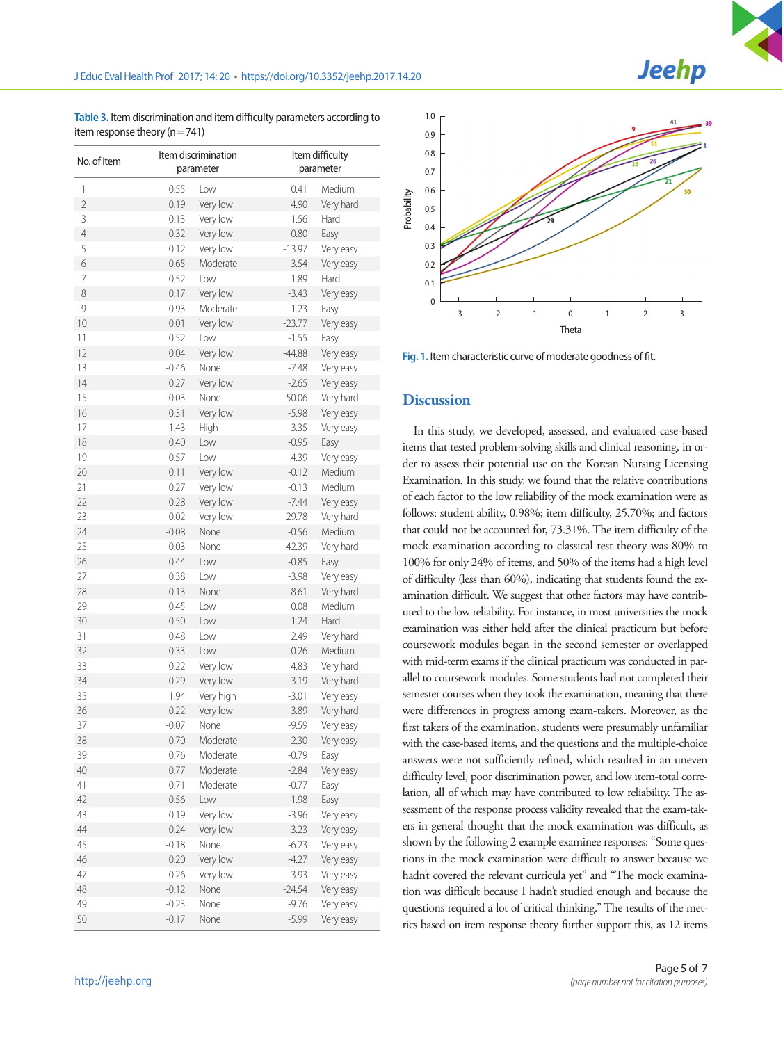**Table 3.** Item discrimination and item difficulty parameters according to item response theory  $(n = 741)$ 

| No. of item    |              | Item discrimination<br>parameter |          | Item difficulty<br>parameter |
|----------------|--------------|----------------------------------|----------|------------------------------|
| 1              | 0.55         | Low                              | 0.41     | Medium                       |
| $\overline{2}$ | 0.19         | Very low                         | 4.90     | Very hard                    |
| 3              | 0.13         | Very low                         | 1.56     | Hard                         |
| 4              | 0.32         | Very low                         | $-0.80$  | Easy                         |
| 5              | 0.12         | Very low                         | $-13.97$ | Very easy                    |
| 6              | 0.65         | Moderate                         | $-3.54$  | Very easy                    |
| 7              | 0.52         | l ow                             | 1.89     | Hard                         |
| 8              | 0.17         | Very low                         | $-3.43$  | Very easy                    |
| 9              | 0.93         | Moderate                         | $-1.23$  | Easy                         |
| 10             | 0.01         | Very low                         | $-23.77$ | Very easy                    |
| 11             | 0.52         | Low                              | $-1.55$  | Easy                         |
| 12             | 0.04         | Very low                         | $-44.88$ | Very easy                    |
| 13             | $-0.46$      | None                             | $-7.48$  | Very easy                    |
| 14             | 0.27         | Very low                         | $-2.65$  | Very easy                    |
| 15             | $-0.03$      | None                             | 50.06    | Very hard                    |
| 16             | 0.31         | Very low                         | $-5.98$  | Very easy                    |
| 17             | 1.43         | High                             | $-3.35$  | Very easy                    |
| 18             | 0.40         | Low                              | $-0.95$  | Easy                         |
| 19             | 0.57         | Low                              | $-4.39$  | Very easy                    |
| 20             | 0.11         | Very low                         | $-0.12$  | Medium                       |
| 21             | 0.27         | Very low                         | $-0.13$  | Medium                       |
| 22             | 0.28         | Very low                         | $-7.44$  | Very easy                    |
| 23             | 0.02         | Very low                         | 29.78    | Very hard                    |
| 24             | $-0.08$      | None                             | $-0.56$  | Medium                       |
| 25             | $-0.03$      | None                             | 42.39    | Very hard                    |
| 26             | 0.44         | Low                              | $-0.85$  | Easy                         |
| 27             | 0.38         | Low                              | $-3.98$  | Very easy                    |
| 28             | $-0.13$      | None                             | 8.61     | Very hard                    |
| 29             | 0.45         | Low                              | 0.08     | Medium                       |
| 30             | 0.50         | Low                              | 1.24     | <b>Hard</b>                  |
| 31             | 0.48         | Low                              | 2.49     | Very hard                    |
| 32             | 0.33         | Low                              | 0.26     | Medium                       |
| 33             | 0.22         | Very low                         | 4.83     | Very hard                    |
| 34             | 0.29         | Very low                         | 3.19     | Very hard                    |
| 35             | 1.94         | Very high                        | $-3.01$  | Very easy                    |
| 36             | 0.22         | Very low                         | 3.89     | Very hard                    |
| 37             | $-0.07$      | None                             | $-9.59$  | Very easy                    |
| 38             | 0.70         | Moderate                         |          |                              |
|                |              |                                  | $-2.30$  | Very easy                    |
| 39             | 0.76<br>0.77 | Moderate                         | $-0.79$  | Easy                         |
| 40             |              | Moderate                         | $-2.84$  | Very easy                    |
| 41             | 0.71         | Moderate                         | $-0.77$  | Easy                         |
| 42             | 0.56         | Low                              | $-1.98$  | Easy                         |
| 43             | 0.19         | Very low                         | $-3.96$  | Very easy                    |
| 44             | 0.24         | Very low                         | $-3.23$  | Very easy                    |
| 45             | $-0.18$      | None                             | -6.23    | Very easy                    |
| 46             | 0.20         | Very low                         | $-4.27$  | Very easy                    |
| 47             | 0.26         | Very low                         | $-3.93$  | Very easy                    |
| 48             | $-0.12$      | None                             | $-24.54$ | Very easy                    |
| 49             | $-0.23$      | None                             | $-9.76$  | Very easy                    |
| 50             | $-0.17$      | None                             | $-5.99$  | Very easy                    |



**Fig. 1.** Item characteristic curve of moderate goodness of fit.

## **Discussion**

In this study, we developed, assessed, and evaluated case-based items that tested problem-solving skills and clinical reasoning, in order to assess their potential use on the Korean Nursing Licensing Examination. In this study, we found that the relative contributions of each factor to the low reliability of the mock examination were as follows: student ability, 0.98%; item difficulty, 25.70%; and factors that could not be accounted for, 73.31%. The item difficulty of the mock examination according to classical test theory was 80% to 100% for only 24% of items, and 50% of the items had a high level of difficulty (less than 60%), indicating that students found the examination difficult. We suggest that other factors may have contributed to the low reliability. For instance, in most universities the mock examination was either held after the clinical practicum but before coursework modules began in the second semester or overlapped with mid-term exams if the clinical practicum was conducted in parallel to coursework modules. Some students had not completed their semester courses when they took the examination, meaning that there were differences in progress among exam-takers. Moreover, as the first takers of the examination, students were presumably unfamiliar with the case-based items, and the questions and the multiple-choice answers were not sufficiently refined, which resulted in an uneven difficulty level, poor discrimination power, and low item-total correlation, all of which may have contributed to low reliability. The assessment of the response process validity revealed that the exam-takers in general thought that the mock examination was difficult, as shown by the following 2 example examinee responses: "Some questions in the mock examination were difficult to answer because we hadn't covered the relevant curricula yet" and "The mock examination was difficult because I hadn't studied enough and because the questions required a lot of critical thinking." The results of the metrics based on item response theory further support this, as 12 items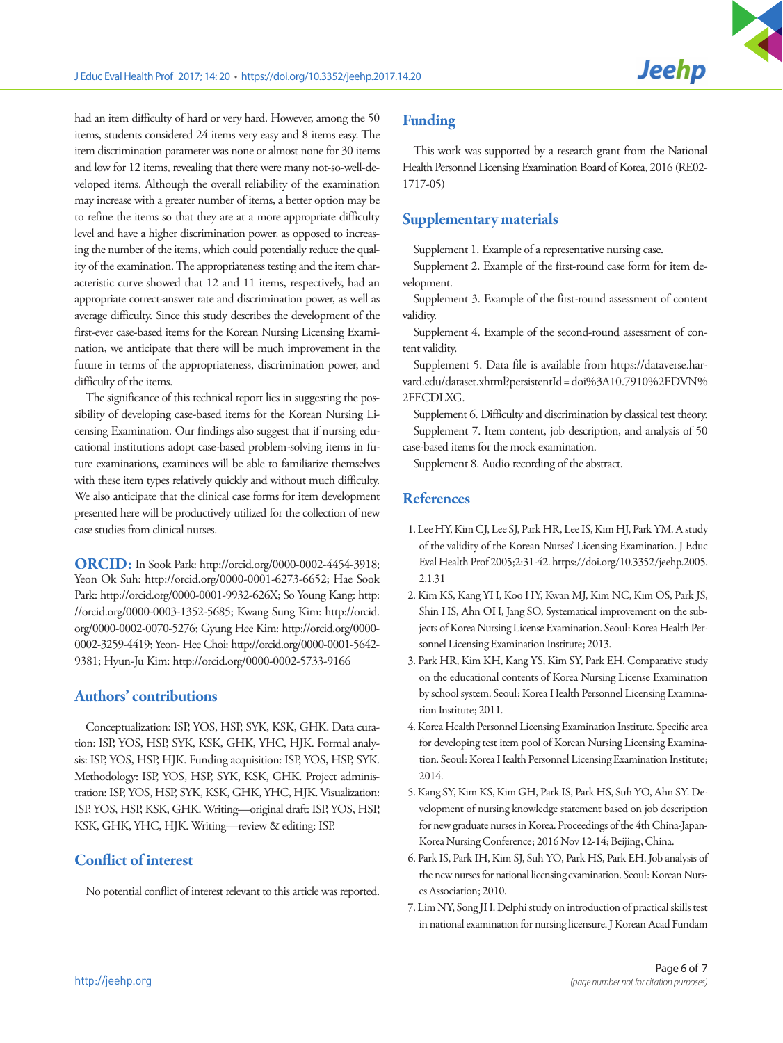had an item difficulty of hard or very hard. However, among the 50 items, students considered 24 items very easy and 8 items easy. The item discrimination parameter was none or almost none for 30 items and low for 12 items, revealing that there were many not-so-well-developed items. Although the overall reliability of the examination may increase with a greater number of items, a better option may be to refine the items so that they are at a more appropriate difficulty level and have a higher discrimination power, as opposed to increasing the number of the items, which could potentially reduce the quality of the examination. The appropriateness testing and the item characteristic curve showed that 12 and 11 items, respectively, had an appropriate correct-answer rate and discrimination power, as well as average difficulty. Since this study describes the development of the first-ever case-based items for the Korean Nursing Licensing Examination, we anticipate that there will be much improvement in the future in terms of the appropriateness, discrimination power, and difficulty of the items.

The significance of this technical report lies in suggesting the possibility of developing case-based items for the Korean Nursing Licensing Examination. Our findings also suggest that if nursing educational institutions adopt case-based problem-solving items in future examinations, examinees will be able to familiarize themselves with these item types relatively quickly and without much difficulty. We also anticipate that the clinical case forms for item development presented here will be productively utilized for the collection of new case studies from clinical nurses.

ORCID: In Sook Park: http://orcid.org/0000-0002-4454-3918; Yeon Ok Suh: http://orcid.org/0000-0001-6273-6652; Hae Sook Park: http://orcid.org/0000-0001-9932-626X; So Young Kang: http: //orcid.org/0000-0003-1352-5685; Kwang Sung Kim: http://orcid. org/0000-0002-0070-5276; Gyung Hee Kim: http://orcid.org/0000- 0002-3259-4419; Yeon- Hee Choi: http://orcid.org/0000-0001-5642- 9381; Hyun-Ju Kim: http://orcid.org/0000-0002-5733-9166

## Authors' contributions

Conceptualization: ISP, YOS, HSP, SYK, KSK, GHK. Data curation: ISP, YOS, HSP, SYK, KSK, GHK, YHC, HJK. Formal analysis: ISP, YOS, HSP, HJK. Funding acquisition: ISP, YOS, HSP, SYK. Methodology: ISP, YOS, HSP, SYK, KSK, GHK. Project administration: ISP, YOS, HSP, SYK, KSK, GHK, YHC, HJK. Visualization: ISP, YOS, HSP, KSK, GHK. Writing—original draft: ISP, YOS, HSP, KSK, GHK, YHC, HJK. Writing—review & editing: ISP.

# Conflict of interest

No potential conflict of interest relevant to this article was reported.

## Funding

This work was supported by a research grant from the National Health Personnel Licensing Examination Board of Korea, 2016 (RE02- 1717-05)

## Supplementary materials

Supplement 1. Example of a representative nursing case.

Supplement 2. Example of the first-round case form for item development.

Supplement 3. Example of the first-round assessment of content validity.

Supplement 4. Example of the second-round assessment of content validity.

Supplement 5. Data file is available from https://dataverse.harvard.edu/dataset.xhtml?persistentId= doi%3A10.7910%2FDVN% 2FECDLXG.

Supplement 6. Difficulty and discrimination by classical test theory. Supplement 7. Item content, job description, and analysis of 50 case-based items for the mock examination.

Supplement 8. Audio recording of the abstract.

## **References**

- 1. Lee HY, Kim CJ, Lee SJ, Park HR, Lee IS, Kim HJ, Park YM. A study of the validity of the Korean Nurses' Licensing Examination. J Educ Eval Health Prof 2005;2:31-42. [https://doi.org/10.3352/jeehp.2005.](https://doi.org/10.3352/jeehp.2005.2.1.31)  [2.1.31](https://doi.org/10.3352/jeehp.2005.2.1.31)
- 2. Kim KS, Kang YH, Koo HY, Kwan MJ, Kim NC, Kim OS, Park JS, Shin HS, Ahn OH, Jang SO, Systematical improvement on the subjects of Korea Nursing License Examination. Seoul: Korea Health Personnel Licensing Examination Institute; 2013.
- 3. Park HR, Kim KH, Kang YS, Kim SY, Park EH. Comparative study on the educational contents of Korea Nursing License Examination by school system. Seoul: Korea Health Personnel Licensing Examination Institute; 2011.
- 4. Korea Health Personnel Licensing Examination Institute. Specific area for developing test item pool of Korean Nursing Licensing Examination. Seoul: Korea Health Personnel Licensing Examination Institute; 2014.
- 5. Kang SY, Kim KS, Kim GH, Park IS, Park HS, Suh YO, Ahn SY. Development of nursing knowledge statement based on job description for new graduate nurses in Korea. Proceedings of the 4th China-Japan-Korea Nursing Conference; 2016 Nov 12-14; Beijing, China.
- 6. Park IS, Park IH, Kim SJ, Suh YO, Park HS, Park EH. Job analysis of the new nurses for national licensing examination. Seoul: Korean Nurses Association; 2010.
- 7. Lim NY, Song JH. Delphi study on introduction of practical skills test in national examination for nursing licensure. J Korean Acad Fundam